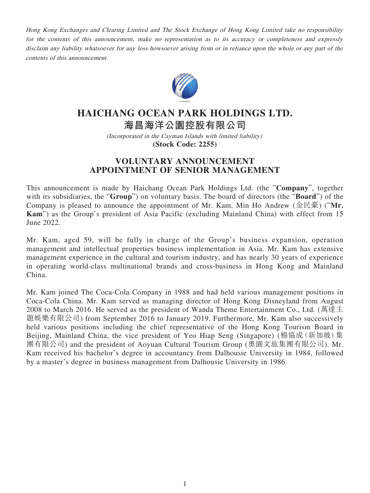Hong Kong Exchanges and Clearing Limited and The Stock Exchange of Hong Kong Limited take no responsibility for the contents of this announcement, make no representation as to its accuracy or completeness and expressly disclaim any liability whatsoever for any loss howsoever arising from or in reliance upon the whole or any part of the contents of this announcement.



## **HAICHANG OCEAN PARK HOLDINGS LTD.**

**海昌海洋公園控股有限公司**

(Incorporated in the Cayman Islands with limited liability) **(Stock Code: 2255)**

## **VOLUNTARY ANNOUNCEMENT APPOINTMENT OF SENIOR MANAGEMENT**

This announcement is made by Haichang Ocean Park Holdings Ltd. (the "**Company**", together with its subsidiaries, the "**Group**") on voluntary basis. The board of directors (the "**Board**") of the Company is pleased to announce the appointment of Mr. Kam, Min Ho Andrew (金民豪) ("**Mr. Kam**") as the Group's president of Asia Pacific (excluding Mainland China) with effect from 15 June 2022.

Mr. Kam, aged 59, will be fully in charge of the Group's business expansion, operation management and intellectual properties business implementation in Asia. Mr. Kam has extensive management experience in the cultural and tourism industry, and has nearly 30 years of experience in operating world-class multinational brands and cross-business in Hong Kong and Mainland China.

Mr. Kam joined The Coca-Cola Company in 1988 and had held various management positions in Coca-Cola China. Mr. Kam served as managing director of Hong Kong Disneyland from August 2008 to March 2016. He served as the president of Wanda Theme Entertainment Co., Ltd. (萬達主 題娛樂有限公司) from September 2016 to January 2019. Furthermore, Mr. Kam also successively held various positions including the chief representative of the Hong Kong Tourism Board in Beijing, Mainland China, the vice president of Yeo Hiap Seng (Singapore) (楊協成(新加坡)集 團有限公司) and the president of Aoyuan Cultural Tourism Group (奧園文旅集團有限公司). Mr. Kam received his bachelor's degree in accountancy from Dalhousie University in 1984, followed by a master's degree in business management from Dalhousie University in 1986.